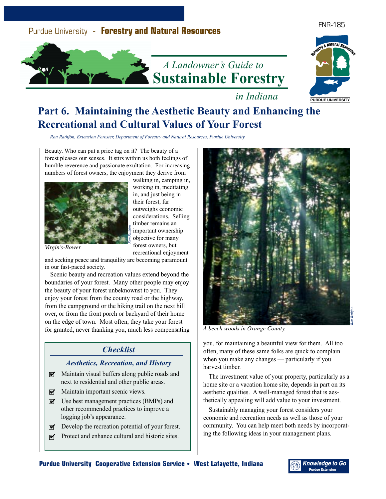

#### FNR-185





*in Indiana*

# **Part 6. Maintaining the Aesthetic Beauty and Enhancing the Recreational and Cultural Values of Your Forest**

*Ron Rathfon, Extension Forester, Department of Forestry and Natural Resources, Purdue University*

Beauty. Who can put a price tag on it? The beauty of a forest pleases our senses. It stirs within us both feelings of humble reverence and passionate exultation. For increasing numbers of forest owners, the enjoyment they derive from



walking in, camping in, working in, meditating in, and just being in their forest, far outweighs economic considerations. Selling timber remains an important ownership objective for many forest owners, but recreational enjoyment

*Virgin's-Bower*

and seeking peace and tranquility are becoming paramount in our fast-paced society.

Scenic beauty and recreation values extend beyond the boundaries of your forest. Many other people may enjoy the beauty of your forest unbeknownst to you. They enjoy your forest from the county road or the highway, from the campground or the hiking trail on the next hill over, or from the front porch or backyard of their home on the edge of town. Most often, they take your forest for granted, never thanking you, much less compensating *A beech woods in Orange County.*

## *Checklist*

### *Aesthetics, Recreation, and History*

- $\triangleright$  Maintain visual buffers along public roads and next to residential and other public areas.
- $\nabla$  Maintain important scenic views.
- $\triangleright$  Use best management practices (BMPs) and other recommended practices to improve a logging job's appearance.
- $\nabla$  Develop the recreation potential of your forest.
- $\nabla$  Protect and enhance cultural and historic sites.



you, for maintaining a beautiful view for them. All too often, many of these same folks are quick to complain when you make any changes — particularly if you harvest timber.

The investment value of your property, particularly as a home site or a vacation home site, depends in part on its aesthetic qualities. A well-managed forest that is aesthetically appealing will add value to your investment.

Sustainably managing your forest considers your economic and recreation needs as well as those of your community. You can help meet both needs by incorporating the following ideas in your management plans.

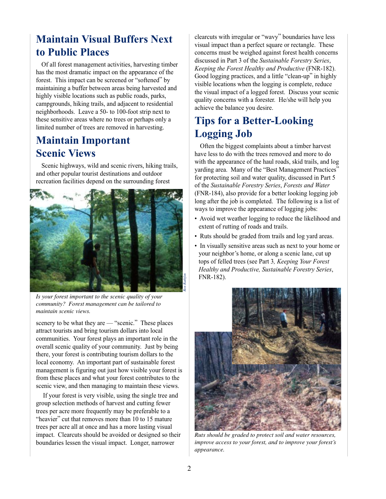# **Maintain Visual Buffers Next to Public Places**

Of all forest management activities, harvesting timber has the most dramatic impact on the appearance of the forest. This impact can be screened or "softened" by maintaining a buffer between areas being harvested and highly visible locations such as public roads, parks, campgrounds, hiking trails, and adjacent to residential neighborhoods. Leave a 50- to 100-foot strip next to these sensitive areas where no trees or perhaps only a limited number of trees are removed in harvesting.

## **Maintain Important Scenic Views**

Scenic highways, wild and scenic rivers, hiking trails, and other popular tourist destinations and outdoor recreation facilities depend on the surrounding forest



*Is your forest important to the scenic quality of your community? Forest management can be tailored to maintain scenic views.*

scenery to be what they are — "scenic." These places attract tourists and bring tourism dollars into local communities. Your forest plays an important role in the overall scenic quality of your community. Just by being there, your forest is contributing tourism dollars to the local economy. An important part of sustainable forest management is figuring out just how visible your forest is from these places and what your forest contributes to the scenic view, and then managing to maintain these views.

 If your forest is very visible, using the single tree and group selection methods of harvest and cutting fewer trees per acre more frequently may be preferable to a "heavier" cut that removes more than 10 to 15 mature trees per acre all at once and has a more lasting visual impact. Clearcuts should be avoided or designed so their boundaries lessen the visual impact. Longer, narrower

clearcuts with irregular or "wavy" boundaries have less visual impact than a perfect square or rectangle. These concerns must be weighed against forest health concerns discussed in Part 3 of the *Sustainable Forestry Series*, *Keeping the Forest Healthy and Productive* (FNR-182). Good logging practices, and a little "clean-up" in highly visible locations when the logging is complete, reduce the visual impact of a logged forest. Discuss your scenic quality concerns with a forester. He/she will help you achieve the balance you desire.

# **Tips for a Better-Looking Logging Job**

Often the biggest complaints about a timber harvest have less to do with the trees removed and more to do with the appearance of the haul roads, skid trails, and log yarding area. Many of the "Best Management Practices" for protecting soil and water quality, discussed in Part 5 of the *Sustainable Forestry Series*, *Forests and Water* (FNR-184), also provide for a better looking logging job long after the job is completed. The following is a list of ways to improve the appearance of logging jobs:

- Avoid wet weather logging to reduce the likelihood and extent of rutting of roads and trails.
- Ruts should be graded from trails and log yard areas.
- In visually sensitive areas such as next to your home or your neighbor's home, or along a scenic lane, cut up tops of felled trees (see Part 3*, Keeping Your Forest Healthy and Productive, Sustainable Forestry Series*, FNR-182).



*Ruts should be graded to protect soil and water resources, improve access to your forest, and to improve your forest's appearance.*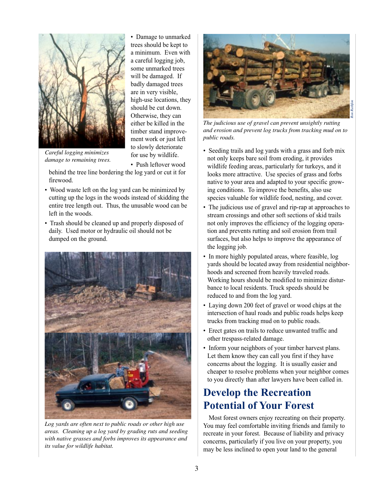

• Damage to unmarked trees should be kept to a minimum. Even with a careful logging job, some unmarked trees will be damaged. If badly damaged trees are in very visible, high-use locations, they should be cut down. Otherwise, they can either be killed in the timber stand improvement work or just left to slowly deteriorate for use by wildlife.

*Careful logging minimizes damage to remaining trees.*

• Push leftover wood behind the tree line bordering the log yard or cut it for firewood.

- Wood waste left on the log yard can be minimized by cutting up the logs in the woods instead of skidding the entire tree length out. Thus, the unusable wood can be left in the woods.
- Trash should be cleaned up and properly disposed of daily. Used motor or hydraulic oil should not be dumped on the ground.



*Log yards are often next to public roads or other high use areas. Cleaning up a log yard by grading ruts and seeding with native grasses and forbs improves its appearance and its value for wildlife habitat.*



*The judicious use of gravel can prevent unsightly rutting and erosion and prevent log trucks from tracking mud on to public roads.*

- Seeding trails and log yards with a grass and forb mix not only keeps bare soil from eroding, it provides wildlife feeding areas, particularly for turkeys, and it looks more attractive. Use species of grass and forbs native to your area and adapted to your specific growing conditions. To improve the benefits, also use species valuable for wildlife food, nesting, and cover.
- The judicious use of gravel and rip-rap at approaches to stream crossings and other soft sections of skid trails not only improves the efficiency of the logging operation and prevents rutting and soil erosion from trail surfaces, but also helps to improve the appearance of the logging job.
- In more highly populated areas, where feasible, log yards should be located away from residential neighborhoods and screened from heavily traveled roads. Working hours should be modified to minimize disturbance to local residents. Truck speeds should be reduced to and from the log yard.
- Laying down 200 feet of gravel or wood chips at the intersection of haul roads and public roads helps keep trucks from tracking mud on to public roads.
- Erect gates on trails to reduce unwanted traffic and other trespass-related damage.
- Inform your neighbors of your timber harvest plans. Let them know they can call you first if they have concerns about the logging. It is usually easier and cheaper to resolve problems when your neighbor comes to you directly than after lawyers have been called in.

# **Develop the Recreation Potential of Your Forest**

Most forest owners enjoy recreating on their property. You may feel comfortable inviting friends and family to recreate in your forest. Because of liability and privacy concerns, particularly if you live on your property, you may be less inclined to open your land to the general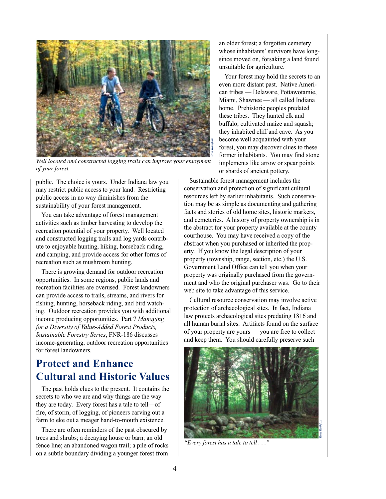

*Well located and constructed logging trails can improve your enjoyment of your forest.*

public. The choice is yours. Under Indiana law you may restrict public access to your land. Restricting public access in no way diminishes from the sustainability of your forest management.

You can take advantage of forest management activities such as timber harvesting to develop the recreation potential of your property. Well located and constructed logging trails and log yards contribute to enjoyable hunting, hiking, horseback riding, and camping, and provide access for other forms of recreation such as mushroom hunting.

There is growing demand for outdoor recreation opportunities. In some regions, public lands and recreation facilities are overused. Forest landowners can provide access to trails, streams, and rivers for fishing, hunting, horseback riding, and bird watching. Outdoor recreation provides you with additional income producing opportunities. Part 7 *Managing for a Diversity of Value-Added Forest Products, Sustainable Forestry Series*, FNR-186 discusses income-generating, outdoor recreation opportunities for forest landowners.

# **Protect and Enhance Cultural and Historic Values**

The past holds clues to the present. It contains the secrets to who we are and why things are the way they are today. Every forest has a tale to tell—of fire, of storm, of logging, of pioneers carving out a farm to eke out a meager hand-to-mouth existence.

There are often reminders of the past obscured by trees and shrubs; a decaying house or barn; an old fence line; an abandoned wagon trail; a pile of rocks on a subtle boundary dividing a younger forest from

an older forest; a forgotten cemetery whose inhabitants' survivors have longsince moved on, forsaking a land found unsuitable for agriculture.

Your forest may hold the secrets to an even more distant past. Native American tribes — Delaware, Pottawotamie, Miami, Shawnee — all called Indiana home. Prehistoric peoples predated these tribes. They hunted elk and buffalo; cultivated maize and squash; they inhabited cliff and cave. As you become well acquainted with your forest, you may discover clues to these former inhabitants. You may find stone implements like arrow or spear points or shards of ancient pottery.

Sustainable forest management includes the conservation and protection of significant cultural resources left by earlier inhabitants. Such conservation may be as simple as documenting and gathering facts and stories of old home sites, historic markers, and cemeteries. A history of property ownership is in the abstract for your property available at the county courthouse. You may have received a copy of the abstract when you purchased or inherited the property. If you know the legal description of your property (township, range, section, etc.) the U.S. Government Land Office can tell you when your property was originally purchased from the government and who the original purchaser was. Go to their web site to take advantage of this service.

Cultural resource conservation may involve active protection of archaeological sites. In fact, Indiana law protects archaeological sites predating 1816 and all human burial sites. Artifacts found on the surface of your property are yours — you are free to collect and keep them. You should carefully preserve such



*"Every forest has a tale to tell . . ."*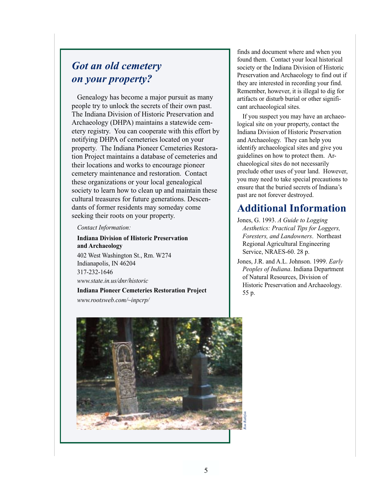## *Got an old cemetery on your property?*

Genealogy has become a major pursuit as many people try to unlock the secrets of their own past. The Indiana Division of Historic Preservation and Archaeology (DHPA) maintains a statewide cemetery registry. You can cooperate with this effort by notifying DHPA of cemeteries located on your property. The Indiana Pioneer Cemeteries Restoration Project maintains a database of cemeteries and their locations and works to encourage pioneer cemetery maintenance and restoration. Contact these organizations or your local genealogical society to learn how to clean up and maintain these cultural treasures for future generations. Descendants of former residents may someday come seeking their roots on your property.

*Contact Information:*

## **Indiana Division of Historic Preservation and Archaeology** 402 West Washington St., Rm. W274

Indianapolis, IN 46204 317-232-1646 *www.state.in.us/dnr/historic*

**Indiana Pioneer Cemeteries Restoration Project** *www.rootsweb.com/~inpcrp/*

finds and document where and when you found them. Contact your local historical society or the Indiana Division of Historic Preservation and Archaeology to find out if they are interested in recording your find. Remember, however, it is illegal to dig for artifacts or disturb burial or other significant archaeological sites.

If you suspect you may have an archaeological site on your property, contact the Indiana Division of Historic Preservation and Archaeology. They can help you identify archaeological sites and give you guidelines on how to protect them. Archaeological sites do not necessarily preclude other uses of your land. However, you may need to take special precautions to ensure that the buried secrets of Indiana's past are not forever destroyed.

## **Additional Information**

- Jones, G. 1993. *A Guide to Logging Aesthetics: Practical Tips for Loggers, Foresters, and Landowners*. Northeast Regional Agricultural Engineering Service, NRAES-60. 28 p.
- Jones, J.R. and A.L. Johnson. 1999. *Early Peoples of Indiana*. Indiana Department of Natural Resources, Division of Historic Preservation and Archaeology. 55 p.